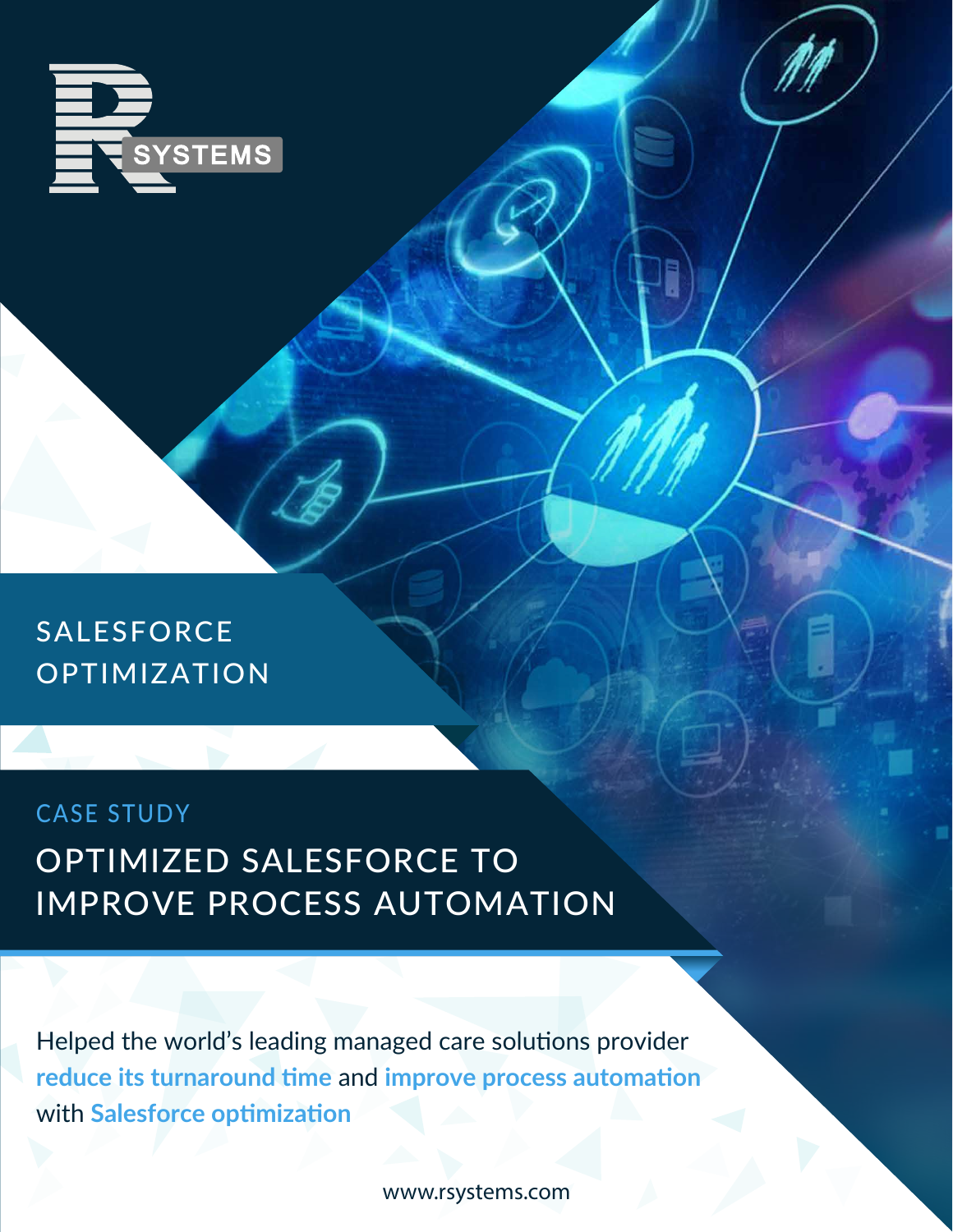

SALESFORCE OPTIMIZATION

#### CASE STUDY

#### OPTIMIZED SALESFORCE TO IMPROVE PROCESS AUTOMATION

Helped the world's leading managed care solutions provider **reduce its turnaround time** and **improve process automation** with **Salesforce optimization**

www.rsystems.com